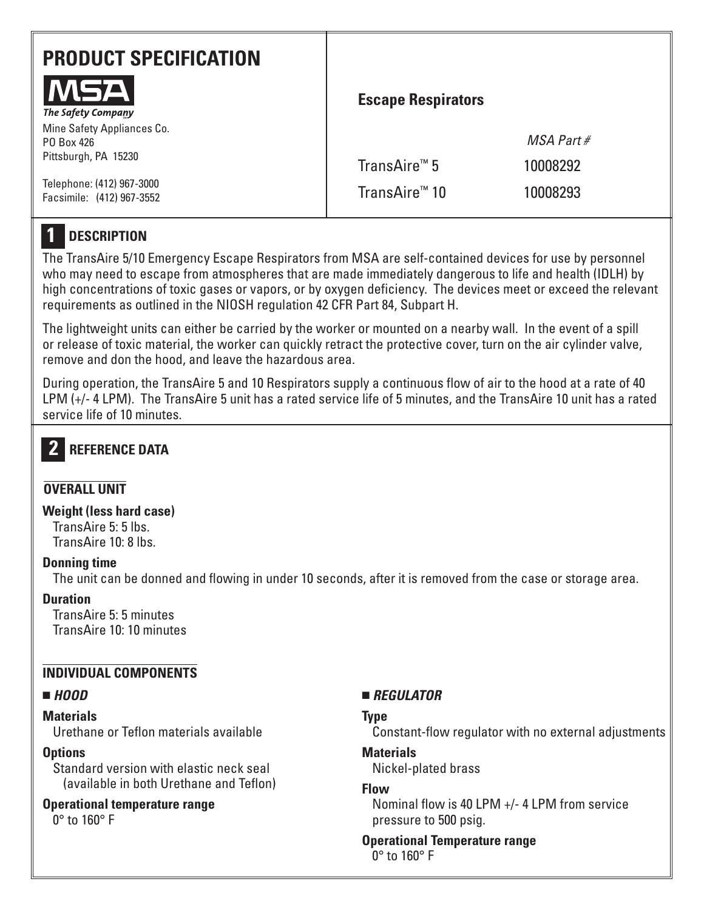| <b>PRODUCT SPECIFICATION</b><br>MSA                              | <b>Escape Respirators</b> |              |
|------------------------------------------------------------------|---------------------------|--------------|
| The Safety Company                                               |                           |              |
| Mine Safety Appliances Co.<br>PO Box 426<br>Pittsburgh, PA 15230 |                           | $MSA$ Part # |
|                                                                  | TransAire™ 5              | 10008292     |
| Telephone: (412) 967-3000<br>Facsimile: (412) 967-3552           | TransAire <sup>™</sup> 10 | 10008293     |

#### **DESCRIPTION 1**

The TransAire 5/10 Emergency Escape Respirators from MSA are self-contained devices for use by personnel who may need to escape from atmospheres that are made immediately dangerous to life and health (IDLH) by high concentrations of toxic gases or vapors, or by oxygen deficiency. The devices meet or exceed the relevant requirements as outlined in the NIOSH regulation 42 CFR Part 84, Subpart H.

The lightweight units can either be carried by the worker or mounted on a nearby wall. In the event of a spill or release of toxic material, the worker can quickly retract the protective cover, turn on the air cylinder valve, remove and don the hood, and leave the hazardous area.

During operation, the TransAire 5 and 10 Respirators supply a continuous flow of air to the hood at a rate of 40 LPM (+/- 4 LPM). The TransAire 5 unit has a rated service life of 5 minutes, and the TransAire 10 unit has a rated service life of 10 minutes.

#### **REFERENCE DATA 2**

# **OVERALL UNIT**

### **Weight (less hard case)**

TransAire 5: 5 lbs. TransAire 10: 8 lbs.

## **Donning time**

The unit can be donned and flowing in under 10 seconds, after it is removed from the case or storage area.

# **Duration**

TransAire 5: 5 minutes TransAire 10: 10 minutes

# **INDIVIDUAL COMPONENTS**

## ■ *HOOD*

## **Materials**

Urethane or Teflon materials available

## **Options**

Standard version with elastic neck seal (available in both Urethane and Teflon)

## **Operational temperature range**

0° to 160° F

# ■ *REGULATOR*

## **Type**

Constant-flow regulator with no external adjustments

# **Materials**

Nickel-plated brass

# **Flow**

Nominal flow is 40 LPM +/- 4 LPM from service pressure to 500 psig.

#### **Operational Temperature range** 0° to 160° F